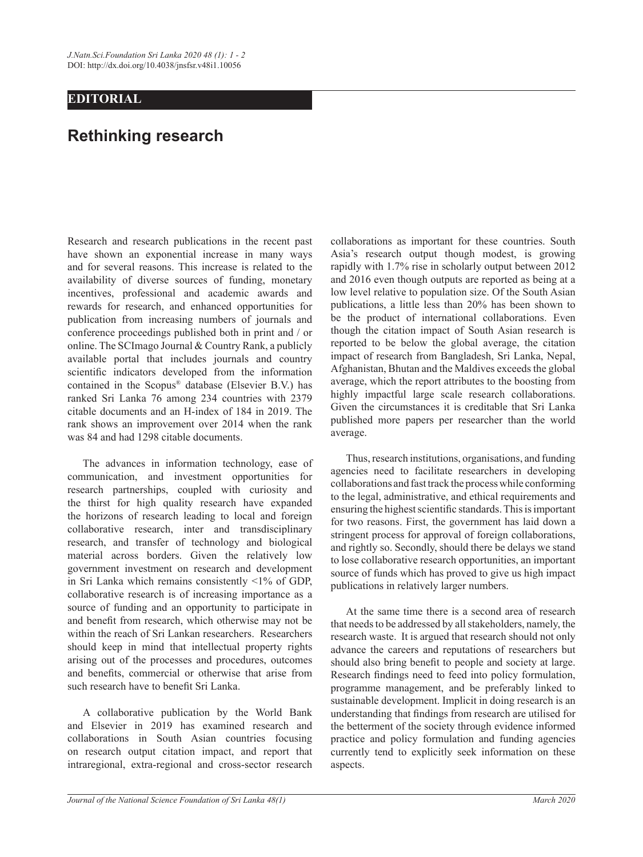## **EDITORIAL**

## **Rethinking research**

Research and research publications in the recent past have shown an exponential increase in many ways and for several reasons. This increase is related to the availability of diverse sources of funding, monetary incentives, professional and academic awards and rewards for research, and enhanced opportunities for publication from increasing numbers of journals and conference proceedings published both in print and / or online. The SCImago Journal & Country Rank, a publicly available portal that includes journals and country scientific indicators developed from the information contained in the Scopus® database (Elsevier B.V.) has ranked Sri Lanka 76 among 234 countries with 2379 citable documents and an H-index of 184 in 2019. The rank shows an improvement over 2014 when the rank was 84 and had 1298 citable documents.

The advances in information technology, ease of communication, and investment opportunities for research partnerships, coupled with curiosity and the thirst for high quality research have expanded the horizons of research leading to local and foreign collaborative research, inter and transdisciplinary research, and transfer of technology and biological material across borders. Given the relatively low government investment on research and development in Sri Lanka which remains consistently <1% of GDP, collaborative research is of increasing importance as a source of funding and an opportunity to participate in and benefit from research, which otherwise may not be within the reach of Sri Lankan researchers. Researchers should keep in mind that intellectual property rights arising out of the processes and procedures, outcomes and benefits, commercial or otherwise that arise from such research have to benefit Sri Lanka.

A collaborative publication by the World Bank and Elsevier in 2019 has examined research and collaborations in South Asian countries focusing on research output citation impact, and report that intraregional, extra-regional and cross-sector research collaborations as important for these countries. South Asia's research output though modest, is growing rapidly with 1.7% rise in scholarly output between 2012 and 2016 even though outputs are reported as being at a low level relative to population size. Of the South Asian publications, a little less than 20% has been shown to be the product of international collaborations. Even though the citation impact of South Asian research is reported to be below the global average, the citation impact of research from Bangladesh, Sri Lanka, Nepal, Afghanistan, Bhutan and the Maldives exceeds the global average, which the report attributes to the boosting from highly impactful large scale research collaborations. Given the circumstances it is creditable that Sri Lanka published more papers per researcher than the world average.

Thus, research institutions, organisations, and funding agencies need to facilitate researchers in developing collaborations and fast track the process while conforming to the legal, administrative, and ethical requirements and ensuring the highest scientific standards. This is important for two reasons. First, the government has laid down a stringent process for approval of foreign collaborations, and rightly so. Secondly, should there be delays we stand to lose collaborative research opportunities, an important source of funds which has proved to give us high impact publications in relatively larger numbers.

At the same time there is a second area of research that needs to be addressed by all stakeholders, namely, the research waste. It is argued that research should not only advance the careers and reputations of researchers but should also bring benefit to people and society at large. Research findings need to feed into policy formulation, programme management, and be preferably linked to sustainable development. Implicit in doing research is an understanding that findings from research are utilised for the betterment of the society through evidence informed practice and policy formulation and funding agencies currently tend to explicitly seek information on these aspects.